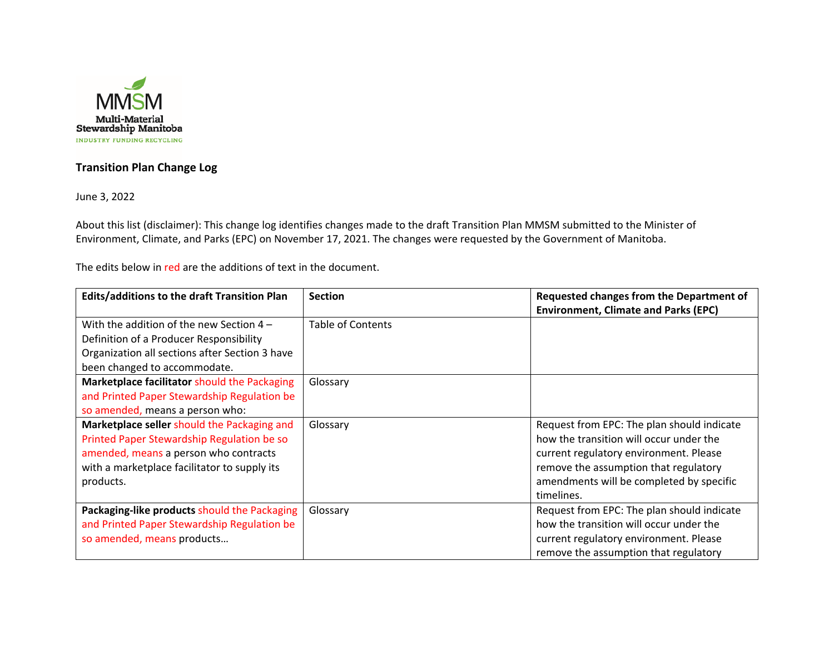

## **Transition Plan Change Log**

June 3, 2022

About this list (disclaimer): This change log identifies changes made to the draft Transition Plan MMSM submitted to the Minister of Environment, Climate, and Parks (EPC) on November 17, 2021. The changes were requested by the Government of Manitoba.

The edits below in red are the additions of text in the document.

| <b>Edits/additions to the draft Transition Plan</b> | <b>Section</b>    | Requested changes from the Department of    |
|-----------------------------------------------------|-------------------|---------------------------------------------|
|                                                     |                   | <b>Environment, Climate and Parks (EPC)</b> |
| With the addition of the new Section $4 -$          | Table of Contents |                                             |
| Definition of a Producer Responsibility             |                   |                                             |
| Organization all sections after Section 3 have      |                   |                                             |
| been changed to accommodate.                        |                   |                                             |
| Marketplace facilitator should the Packaging        | Glossary          |                                             |
| and Printed Paper Stewardship Regulation be         |                   |                                             |
| so amended, means a person who:                     |                   |                                             |
| Marketplace seller should the Packaging and         | Glossary          | Request from EPC: The plan should indicate  |
| Printed Paper Stewardship Regulation be so          |                   | how the transition will occur under the     |
| amended, means a person who contracts               |                   | current regulatory environment. Please      |
| with a marketplace facilitator to supply its        |                   | remove the assumption that regulatory       |
| products.                                           |                   | amendments will be completed by specific    |
|                                                     |                   | timelines.                                  |
| Packaging-like products should the Packaging        | Glossary          | Request from EPC: The plan should indicate  |
| and Printed Paper Stewardship Regulation be         |                   | how the transition will occur under the     |
| so amended, means products                          |                   | current regulatory environment. Please      |
|                                                     |                   | remove the assumption that regulatory       |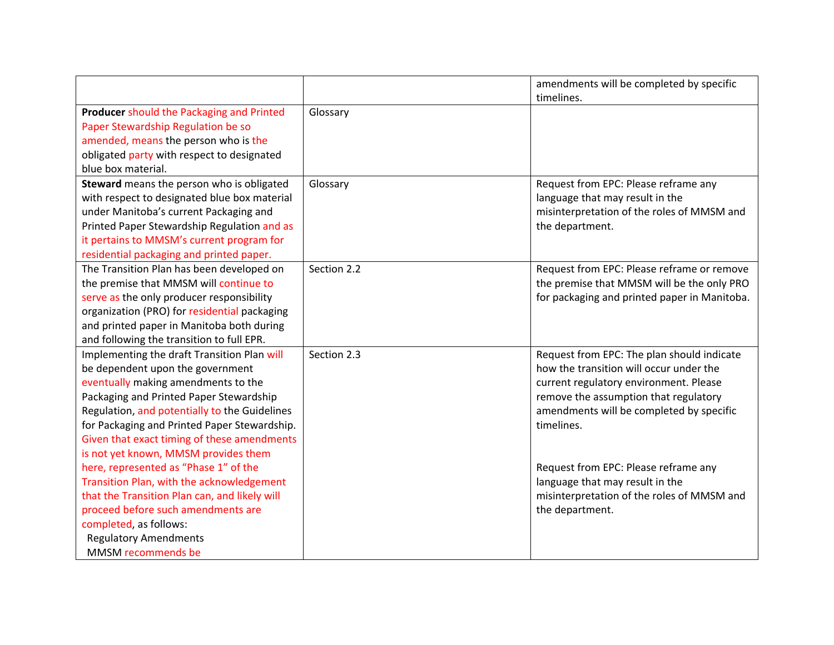|                                               |             | amendments will be completed by specific<br>timelines. |
|-----------------------------------------------|-------------|--------------------------------------------------------|
| Producer should the Packaging and Printed     | Glossary    |                                                        |
|                                               |             |                                                        |
| Paper Stewardship Regulation be so            |             |                                                        |
| amended, means the person who is the          |             |                                                        |
| obligated party with respect to designated    |             |                                                        |
| blue box material.                            |             |                                                        |
| Steward means the person who is obligated     | Glossary    | Request from EPC: Please reframe any                   |
| with respect to designated blue box material  |             | language that may result in the                        |
| under Manitoba's current Packaging and        |             | misinterpretation of the roles of MMSM and             |
| Printed Paper Stewardship Regulation and as   |             | the department.                                        |
| it pertains to MMSM's current program for     |             |                                                        |
| residential packaging and printed paper.      |             |                                                        |
| The Transition Plan has been developed on     | Section 2.2 | Request from EPC: Please reframe or remove             |
| the premise that MMSM will continue to        |             | the premise that MMSM will be the only PRO             |
| serve as the only producer responsibility     |             | for packaging and printed paper in Manitoba.           |
| organization (PRO) for residential packaging  |             |                                                        |
| and printed paper in Manitoba both during     |             |                                                        |
| and following the transition to full EPR.     |             |                                                        |
| Implementing the draft Transition Plan will   | Section 2.3 | Request from EPC: The plan should indicate             |
| be dependent upon the government              |             | how the transition will occur under the                |
| eventually making amendments to the           |             | current regulatory environment. Please                 |
| Packaging and Printed Paper Stewardship       |             | remove the assumption that regulatory                  |
| Regulation, and potentially to the Guidelines |             | amendments will be completed by specific               |
| for Packaging and Printed Paper Stewardship.  |             | timelines.                                             |
| Given that exact timing of these amendments   |             |                                                        |
| is not yet known, MMSM provides them          |             |                                                        |
| here, represented as "Phase 1" of the         |             | Request from EPC: Please reframe any                   |
| Transition Plan, with the acknowledgement     |             | language that may result in the                        |
| that the Transition Plan can, and likely will |             | misinterpretation of the roles of MMSM and             |
| proceed before such amendments are            |             | the department.                                        |
| completed, as follows:                        |             |                                                        |
| <b>Regulatory Amendments</b>                  |             |                                                        |
| MMSM recommends be                            |             |                                                        |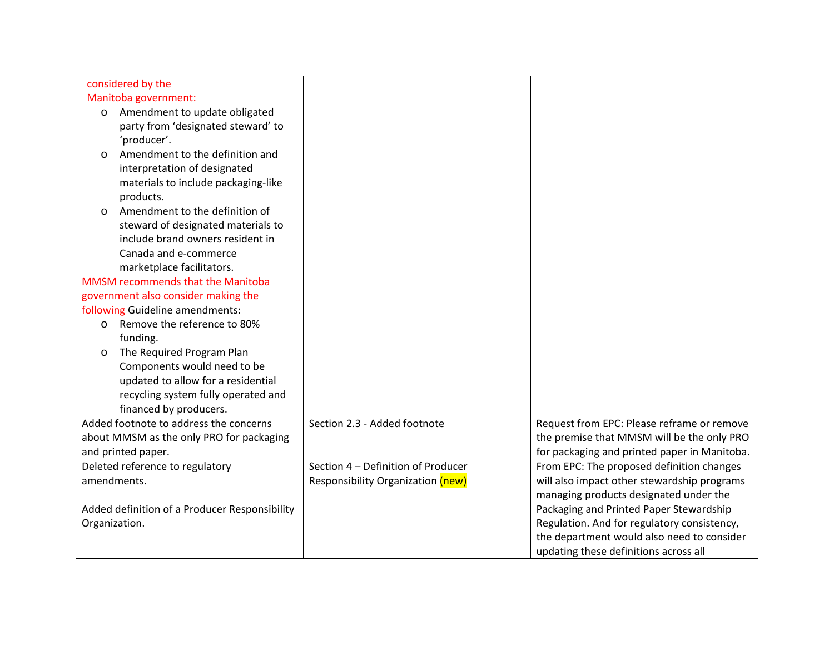| considered by the                             |                                    |                                              |
|-----------------------------------------------|------------------------------------|----------------------------------------------|
| Manitoba government:                          |                                    |                                              |
| Amendment to update obligated<br>$\circ$      |                                    |                                              |
| party from 'designated steward' to            |                                    |                                              |
| 'producer'.                                   |                                    |                                              |
| Amendment to the definition and<br>$\circ$    |                                    |                                              |
| interpretation of designated                  |                                    |                                              |
| materials to include packaging-like           |                                    |                                              |
| products.                                     |                                    |                                              |
| Amendment to the definition of<br>$\circ$     |                                    |                                              |
| steward of designated materials to            |                                    |                                              |
| include brand owners resident in              |                                    |                                              |
| Canada and e-commerce                         |                                    |                                              |
| marketplace facilitators.                     |                                    |                                              |
| <b>MMSM</b> recommends that the Manitoba      |                                    |                                              |
| government also consider making the           |                                    |                                              |
| following Guideline amendments:               |                                    |                                              |
| Remove the reference to 80%<br>$\circ$        |                                    |                                              |
| funding.                                      |                                    |                                              |
| The Required Program Plan<br>$\circ$          |                                    |                                              |
| Components would need to be                   |                                    |                                              |
| updated to allow for a residential            |                                    |                                              |
| recycling system fully operated and           |                                    |                                              |
| financed by producers.                        |                                    |                                              |
| Added footnote to address the concerns        | Section 2.3 - Added footnote       | Request from EPC: Please reframe or remove   |
| about MMSM as the only PRO for packaging      |                                    | the premise that MMSM will be the only PRO   |
| and printed paper.                            |                                    | for packaging and printed paper in Manitoba. |
| Deleted reference to regulatory               | Section 4 - Definition of Producer | From EPC: The proposed definition changes    |
| amendments.                                   | Responsibility Organization (new)  | will also impact other stewardship programs  |
|                                               |                                    | managing products designated under the       |
| Added definition of a Producer Responsibility |                                    | Packaging and Printed Paper Stewardship      |
| Organization.                                 |                                    | Regulation. And for regulatory consistency,  |
|                                               |                                    | the department would also need to consider   |
|                                               |                                    | updating these definitions across all        |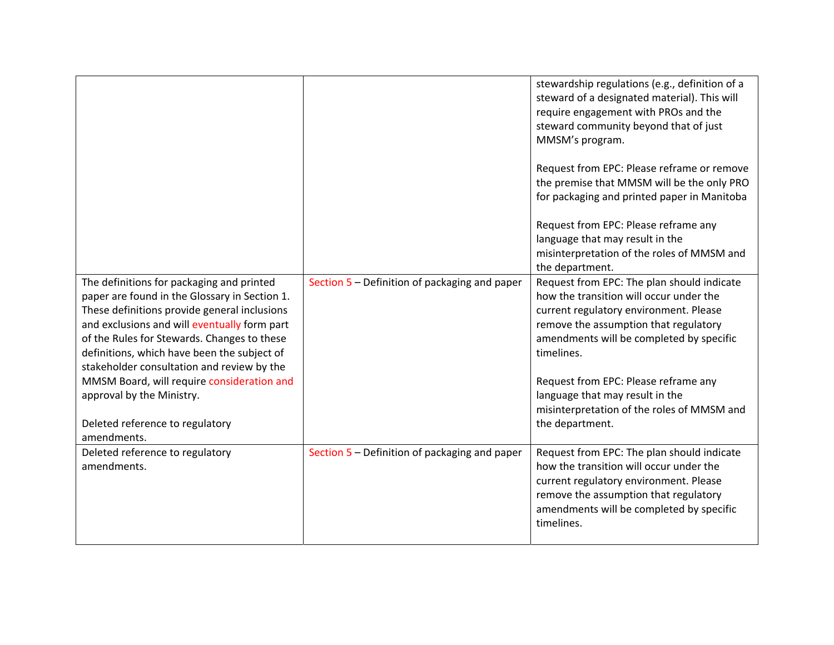|                                                                                                                                                                                                                                                                                                                                        |                                               | stewardship regulations (e.g., definition of a<br>steward of a designated material). This will<br>require engagement with PROs and the<br>steward community beyond that of just<br>MMSM's program.                                 |
|----------------------------------------------------------------------------------------------------------------------------------------------------------------------------------------------------------------------------------------------------------------------------------------------------------------------------------------|-----------------------------------------------|------------------------------------------------------------------------------------------------------------------------------------------------------------------------------------------------------------------------------------|
|                                                                                                                                                                                                                                                                                                                                        |                                               | Request from EPC: Please reframe or remove<br>the premise that MMSM will be the only PRO<br>for packaging and printed paper in Manitoba                                                                                            |
|                                                                                                                                                                                                                                                                                                                                        |                                               | Request from EPC: Please reframe any<br>language that may result in the<br>misinterpretation of the roles of MMSM and<br>the department.                                                                                           |
| The definitions for packaging and printed<br>paper are found in the Glossary in Section 1.<br>These definitions provide general inclusions<br>and exclusions and will eventually form part<br>of the Rules for Stewards. Changes to these<br>definitions, which have been the subject of<br>stakeholder consultation and review by the | Section 5 - Definition of packaging and paper | Request from EPC: The plan should indicate<br>how the transition will occur under the<br>current regulatory environment. Please<br>remove the assumption that regulatory<br>amendments will be completed by specific<br>timelines. |
| MMSM Board, will require consideration and<br>approval by the Ministry.<br>Deleted reference to regulatory<br>amendments.                                                                                                                                                                                                              |                                               | Request from EPC: Please reframe any<br>language that may result in the<br>misinterpretation of the roles of MMSM and<br>the department.                                                                                           |
| Deleted reference to regulatory<br>amendments.                                                                                                                                                                                                                                                                                         | Section 5 - Definition of packaging and paper | Request from EPC: The plan should indicate<br>how the transition will occur under the<br>current regulatory environment. Please<br>remove the assumption that regulatory<br>amendments will be completed by specific<br>timelines. |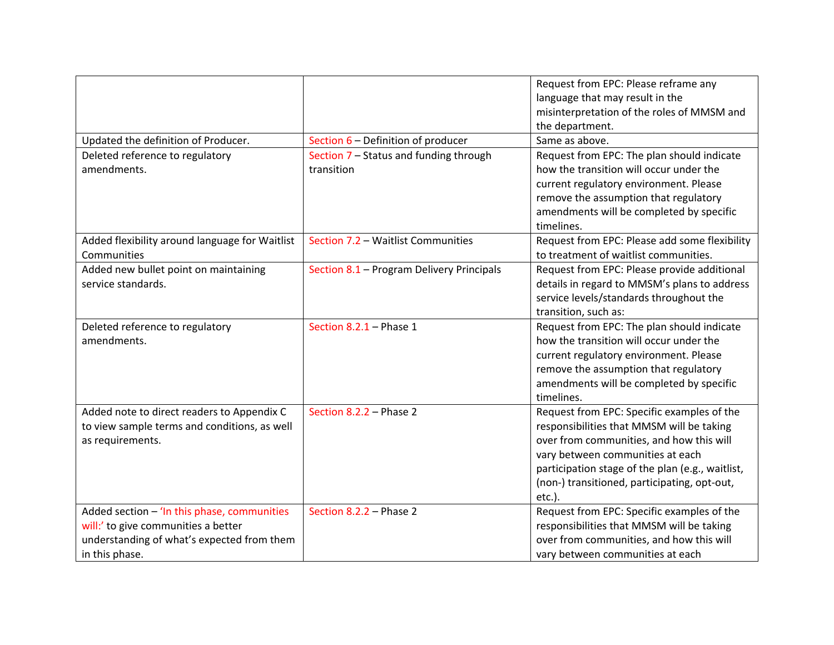|                                                |                                           | Request from EPC: Please reframe any             |
|------------------------------------------------|-------------------------------------------|--------------------------------------------------|
|                                                |                                           | language that may result in the                  |
|                                                |                                           | misinterpretation of the roles of MMSM and       |
|                                                |                                           | the department.                                  |
| Updated the definition of Producer.            | Section 6 - Definition of producer        | Same as above.                                   |
| Deleted reference to regulatory                | Section 7 - Status and funding through    | Request from EPC: The plan should indicate       |
| amendments.                                    | transition                                | how the transition will occur under the          |
|                                                |                                           | current regulatory environment. Please           |
|                                                |                                           | remove the assumption that regulatory            |
|                                                |                                           | amendments will be completed by specific         |
|                                                |                                           | timelines.                                       |
| Added flexibility around language for Waitlist | Section 7.2 - Waitlist Communities        | Request from EPC: Please add some flexibility    |
| Communities                                    |                                           | to treatment of waitlist communities.            |
| Added new bullet point on maintaining          | Section 8.1 - Program Delivery Principals | Request from EPC: Please provide additional      |
| service standards.                             |                                           | details in regard to MMSM's plans to address     |
|                                                |                                           | service levels/standards throughout the          |
|                                                |                                           | transition, such as:                             |
| Deleted reference to regulatory                | Section $8.2.1$ – Phase 1                 | Request from EPC: The plan should indicate       |
| amendments.                                    |                                           | how the transition will occur under the          |
|                                                |                                           | current regulatory environment. Please           |
|                                                |                                           | remove the assumption that regulatory            |
|                                                |                                           | amendments will be completed by specific         |
|                                                |                                           | timelines.                                       |
| Added note to direct readers to Appendix C     | Section 8.2.2 - Phase 2                   | Request from EPC: Specific examples of the       |
| to view sample terms and conditions, as well   |                                           | responsibilities that MMSM will be taking        |
| as requirements.                               |                                           | over from communities, and how this will         |
|                                                |                                           | vary between communities at each                 |
|                                                |                                           | participation stage of the plan (e.g., waitlist, |
|                                                |                                           | (non-) transitioned, participating, opt-out,     |
|                                                |                                           | etc.).                                           |
| Added section - 'In this phase, communities    | Section 8.2.2 - Phase 2                   | Request from EPC: Specific examples of the       |
| will:' to give communities a better            |                                           | responsibilities that MMSM will be taking        |
| understanding of what's expected from them     |                                           | over from communities, and how this will         |
| in this phase.                                 |                                           | vary between communities at each                 |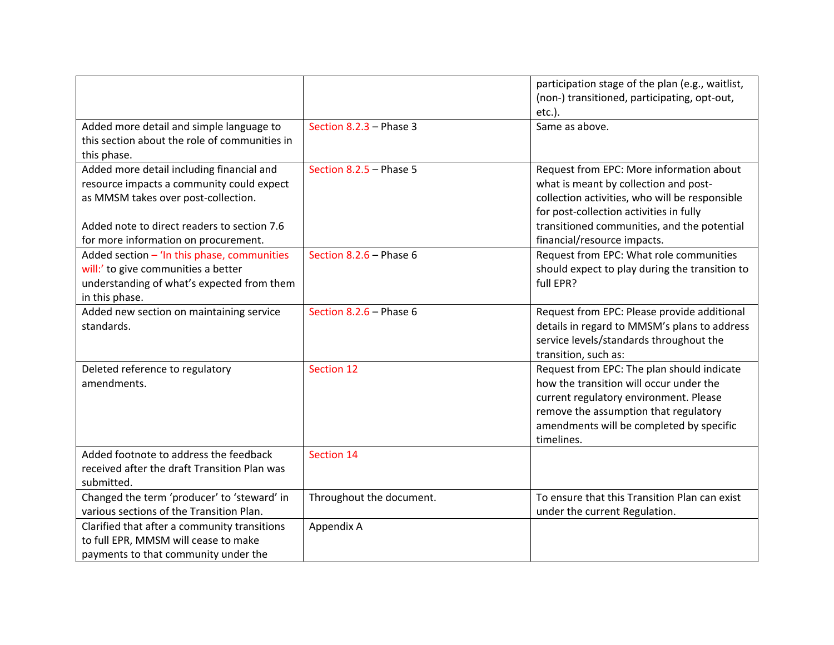|                                               |                           | participation stage of the plan (e.g., waitlist, |
|-----------------------------------------------|---------------------------|--------------------------------------------------|
|                                               |                           | (non-) transitioned, participating, opt-out,     |
|                                               |                           | $etc.$ ).                                        |
| Added more detail and simple language to      | Section $8.2.3$ – Phase 3 | Same as above.                                   |
| this section about the role of communities in |                           |                                                  |
| this phase.                                   |                           |                                                  |
| Added more detail including financial and     | Section $8.2.5$ – Phase 5 | Request from EPC: More information about         |
| resource impacts a community could expect     |                           | what is meant by collection and post-            |
| as MMSM takes over post-collection.           |                           | collection activities, who will be responsible   |
|                                               |                           | for post-collection activities in fully          |
| Added note to direct readers to section 7.6   |                           | transitioned communities, and the potential      |
| for more information on procurement.          |                           | financial/resource impacts.                      |
| Added section $-$ 'In this phase, communities | Section $8.2.6$ – Phase 6 | Request from EPC: What role communities          |
| will:' to give communities a better           |                           | should expect to play during the transition to   |
| understanding of what's expected from them    |                           | full EPR?                                        |
| in this phase.                                |                           |                                                  |
| Added new section on maintaining service      | Section $8.2.6$ – Phase 6 | Request from EPC: Please provide additional      |
| standards.                                    |                           | details in regard to MMSM's plans to address     |
|                                               |                           | service levels/standards throughout the          |
|                                               |                           | transition, such as:                             |
| Deleted reference to regulatory               | Section 12                | Request from EPC: The plan should indicate       |
| amendments.                                   |                           | how the transition will occur under the          |
|                                               |                           | current regulatory environment. Please           |
|                                               |                           | remove the assumption that regulatory            |
|                                               |                           | amendments will be completed by specific         |
|                                               |                           | timelines.                                       |
| Added footnote to address the feedback        | Section 14                |                                                  |
| received after the draft Transition Plan was  |                           |                                                  |
| submitted.                                    |                           |                                                  |
| Changed the term 'producer' to 'steward' in   | Throughout the document.  | To ensure that this Transition Plan can exist    |
| various sections of the Transition Plan.      |                           | under the current Regulation.                    |
| Clarified that after a community transitions  | Appendix A                |                                                  |
| to full EPR, MMSM will cease to make          |                           |                                                  |
| payments to that community under the          |                           |                                                  |